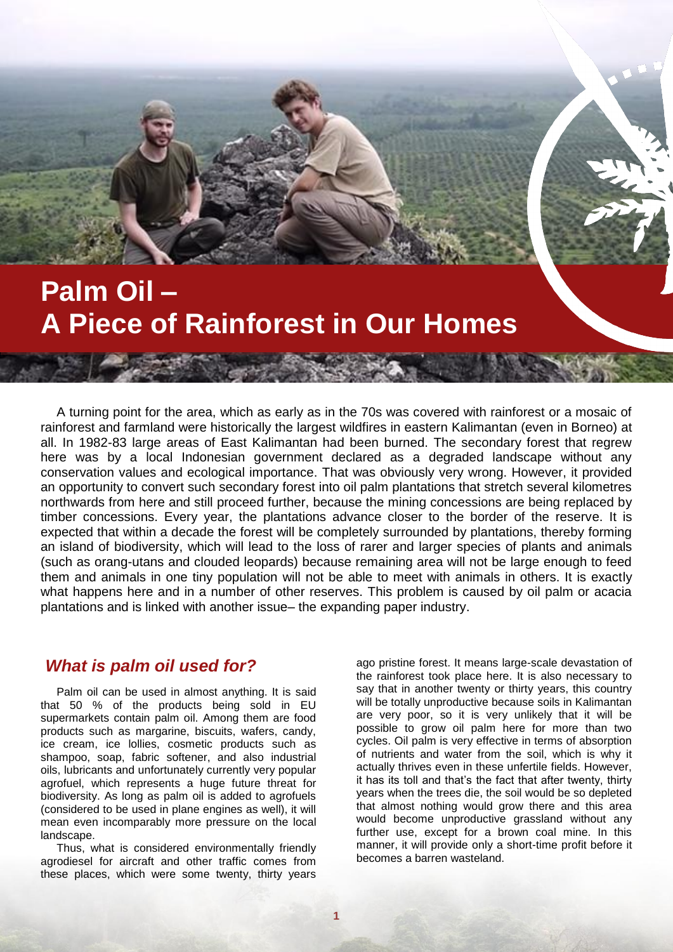# **Palm Oil – A Piece of Rainforest in Our Homes**

A turning point for the area, which as early as in the 70s was covered with rainforest or a mosaic of rainforest and farmland were historically the largest wildfires in eastern Kalimantan (even in Borneo) at all. In 1982-83 large areas of East Kalimantan had been burned. The secondary forest that regrew here was by a local Indonesian government declared as a degraded landscape without any conservation values and ecological importance. That was obviously very wrong. However, it provided an opportunity to convert such secondary forest into oil palm plantations that stretch several kilometres northwards from here and still proceed further, because the mining concessions are being replaced by timber concessions. Every year, the plantations advance closer to the border of the reserve. It is expected that within a decade the forest will be completely surrounded by plantations, thereby forming an island of biodiversity, which will lead to the loss of rarer and larger species of plants and animals (such as orang-utans and clouded leopards) because remaining area will not be large enough to feed them and animals in one tiny population will not be able to meet with animals in others. It is exactly what happens here and in a number of other reserves. This problem is caused by oil palm or acacia plantations and is linked with another issue– the expanding paper industry.

#### *What is palm oil used for?*

Palm oil can be used in almost anything. It is said that 50 % of the products being sold in EU supermarkets contain palm oil. Among them are food products such as margarine, biscuits, wafers, candy, ice cream, ice lollies, cosmetic products such as shampoo, soap, fabric softener, and also industrial oils, lubricants and unfortunately currently very popular agrofuel, which represents a huge future threat for biodiversity. As long as palm oil is added to agrofuels (considered to be used in plane engines as well), it will mean even incomparably more pressure on the local landscape.

Thus, what is considered environmentally friendly agrodiesel for aircraft and other traffic comes from these places, which were some twenty, thirty years

ago pristine forest. It means large-scale devastation of the rainforest took place here. It is also necessary to say that in another twenty or thirty years, this country will be totally unproductive because soils in Kalimantan are very poor, so it is very unlikely that it will be possible to grow oil palm here for more than two cycles. Oil palm is very effective in terms of absorption of nutrients and water from the soil, which is why it actually thrives even in these unfertile fields. However, it has its toll and that's the fact that after twenty, thirty years when the trees die, the soil would be so depleted that almost nothing would grow there and this area would become unproductive grassland without any further use, except for a brown coal mine. In this manner, it will provide only a short-time profit before it becomes a barren wasteland.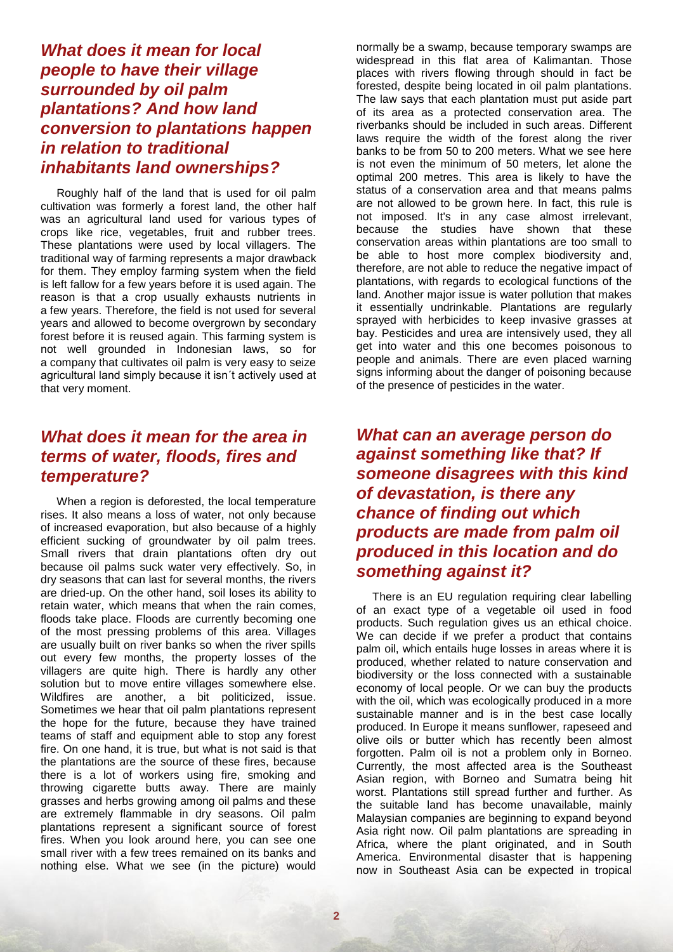### *What does it mean for local people to have their village surrounded by oil palm plantations? And how land conversion to plantations happen in relation to traditional inhabitants land ownerships?*

Roughly half of the land that is used for oil palm cultivation was formerly a forest land, the other half was an agricultural land used for various types of crops like rice, vegetables, fruit and rubber trees. These plantations were used by local villagers. The traditional way of farming represents a major drawback for them. They employ farming system when the field is left fallow for a few years before it is used again. The reason is that a crop usually exhausts nutrients in a few years. Therefore, the field is not used for several years and allowed to become overgrown by secondary forest before it is reused again. This farming system is not well grounded in Indonesian laws, so for a company that cultivates oil palm is very easy to seize agricultural land simply because it isn´t actively used at that very moment.

#### *What does it mean for the area in terms of water, floods, fires and temperature?*

When a region is deforested, the local temperature rises. It also means a loss of water, not only because of increased evaporation, but also because of a highly efficient sucking of groundwater by oil palm trees. Small rivers that drain plantations often dry out because oil palms suck water very effectively. So, in dry seasons that can last for several months, the rivers are dried-up. On the other hand, soil loses its ability to retain water, which means that when the rain comes, floods take place. Floods are currently becoming one of the most pressing problems of this area. Villages are usually built on river banks so when the river spills out every few months, the property losses of the villagers are quite high. There is hardly any other solution but to move entire villages somewhere else. Wildfires are another, a bit politicized, issue. Sometimes we hear that oil palm plantations represent the hope for the future, because they have trained teams of staff and equipment able to stop any forest fire. On one hand, it is true, but what is not said is that the plantations are the source of these fires, because there is a lot of workers using fire, smoking and throwing cigarette butts away. There are mainly grasses and herbs growing among oil palms and these are extremely flammable in dry seasons. Oil palm plantations represent a significant source of forest fires. When you look around here, you can see one small river with a few trees remained on its banks and nothing else. What we see (in the picture) would

normally be a swamp, because temporary swamps are widespread in this flat area of Kalimantan. Those places with rivers flowing through should in fact be forested, despite being located in oil palm plantations. The law says that each plantation must put aside part of its area as a protected conservation area. The riverbanks should be included in such areas. Different laws require the width of the forest along the river banks to be from 50 to 200 meters. What we see here is not even the minimum of 50 meters, let alone the optimal 200 metres. This area is likely to have the status of a conservation area and that means palms are not allowed to be grown here. In fact, this rule is not imposed. It's in any case almost irrelevant, because the studies have shown that these conservation areas within plantations are too small to be able to host more complex biodiversity and, therefore, are not able to reduce the negative impact of plantations, with regards to ecological functions of the land. Another major issue is water pollution that makes it essentially undrinkable. Plantations are regularly sprayed with herbicides to keep invasive grasses at bay. Pesticides and urea are intensively used, they all get into water and this one becomes poisonous to people and animals. There are even placed warning signs informing about the danger of poisoning because of the presence of pesticides in the water.

## *What can an average person do against something like that? If someone disagrees with this kind of devastation, is there any chance of finding out which products are made from palm oil produced in this location and do something against it?*

There is an EU regulation requiring clear labelling of an exact type of a vegetable oil used in food products. Such regulation gives us an ethical choice. We can decide if we prefer a product that contains palm oil, which entails huge losses in areas where it is produced, whether related to nature conservation and biodiversity or the loss connected with a sustainable economy of local people. Or we can buy the products with the oil, which was ecologically produced in a more sustainable manner and is in the best case locally produced. In Europe it means sunflower, rapeseed and olive oils or butter which has recently been almost forgotten. Palm oil is not a problem only in Borneo. Currently, the most affected area is the Southeast Asian region, with Borneo and Sumatra being hit worst. Plantations still spread further and further. As the suitable land has become unavailable, mainly Malaysian companies are beginning to expand beyond Asia right now. Oil palm plantations are spreading in Africa, where the plant originated, and in South America. Environmental disaster that is happening now in Southeast Asia can be expected in tropical